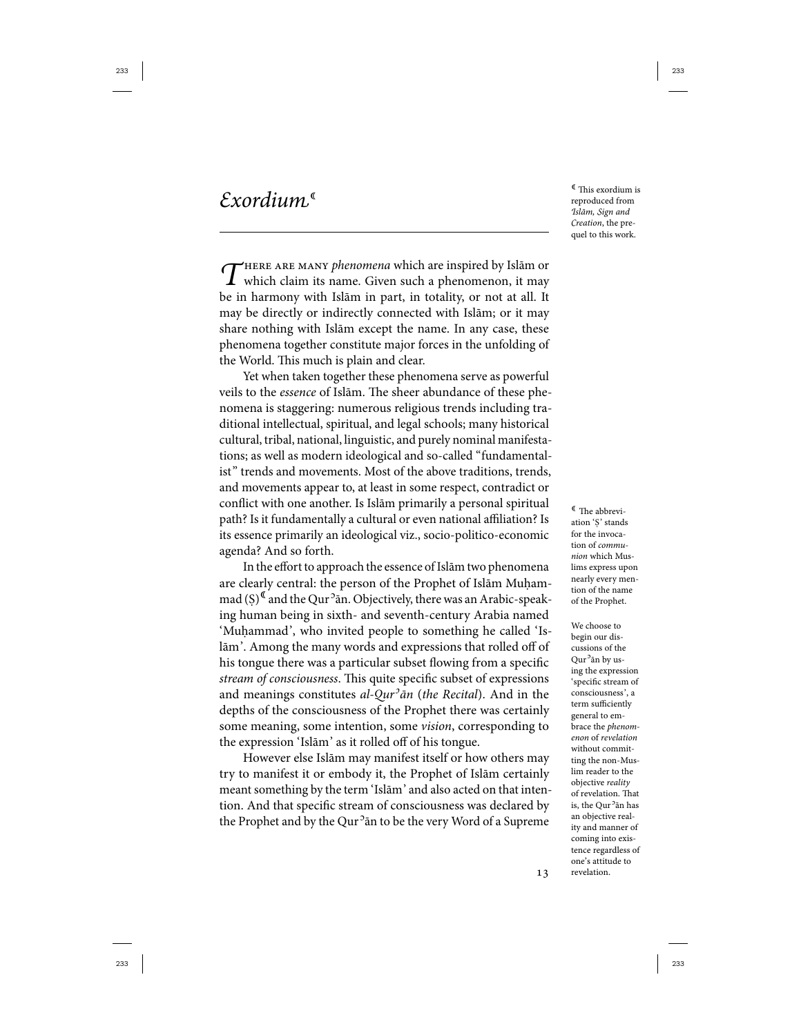This exordium is reproduced from Islām, Sign and Creation, the prequel to this work.

 $\int$ HERE ARE MANY phenomena which are inspired by Islām or which claim its name. Given such a phenomenon, it may be in harmony with Islām in part, in totality, or not at all. It may be directly or indirectly connected with Islām; or it may share nothing with Islām except the name. In any case, these phenomena together constitute major forces in the unfolding of the World. This much is plain and clear.

Yet when taken together these phenomena serve as powerful veils to the essence of Islām. The sheer abundance of these phenomena is staggering: numerous religious trends including traditional intellectual, spiritual, and legal schools; many historical cultural, tribal, national, linguistic, and purely nominal manifestations; as well as modern ideological and so-called "fundamentalist" trends and movements. Most of the above traditions, trends, and movements appear to, at least in some respect, contradict or conflict with one another. Is Islām primarily a personal spiritual path? Is it fundamentally a cultural or even national affiliation? Is its essence primarily an ideological viz., socio-politico-economic agenda? And so forth.

In the effort to approach the essence of Islām two phenomena are clearly central: the person of the Prophet of Islām Muḥammad  $(\xi)^{\mathfrak{C}}$  and the Qur<sup>2</sup>an. Objectively, there was an Arabic-speaking human being in sixth- and seventh-century Arabia named 'Muhammad', who invited people to something he called 'Islām'. Among the many words and expressions that rolled off of his tongue there was a particular subset flowing from a specific stream of consciousness. This quite specific subset of expressions and meanings constitutes al-Qur<sup>3</sup>ān (the Recital). And in the depths of the consciousness of the Prophet there was certainly some meaning, some intention, some *vision*, corresponding to the expression 'Islām' as it rolled off of his tongue.

However else Islām may manifest itself or how others may try to manifest it or embody it, the Prophet of Islām certainly meant something by the term 'Islām' and also acted on that intention. And that specific stream of consciousness was declared by the Prophet and by the Qur<sup>5</sup>ān to be the very Word of a Supreme

 ${}^{\mathbb{C}}$  The abbreviation 'Ṣ' stands for the invocation of communion which Muslims express upon nearly every mention of the name of the Prophet.

We choose to begin our discussions of the Qur<sup>o</sup>ān by using the expression 'specific stream of consciousness', a term sufficiently general to embrace the phenomenon of revelation without committing the non-Muslim reader to the objective reality of revelation. That is, the Qur<sup>5</sup>ān has an objective reality and manner of coming into existence regardless of one's attitude to revelation.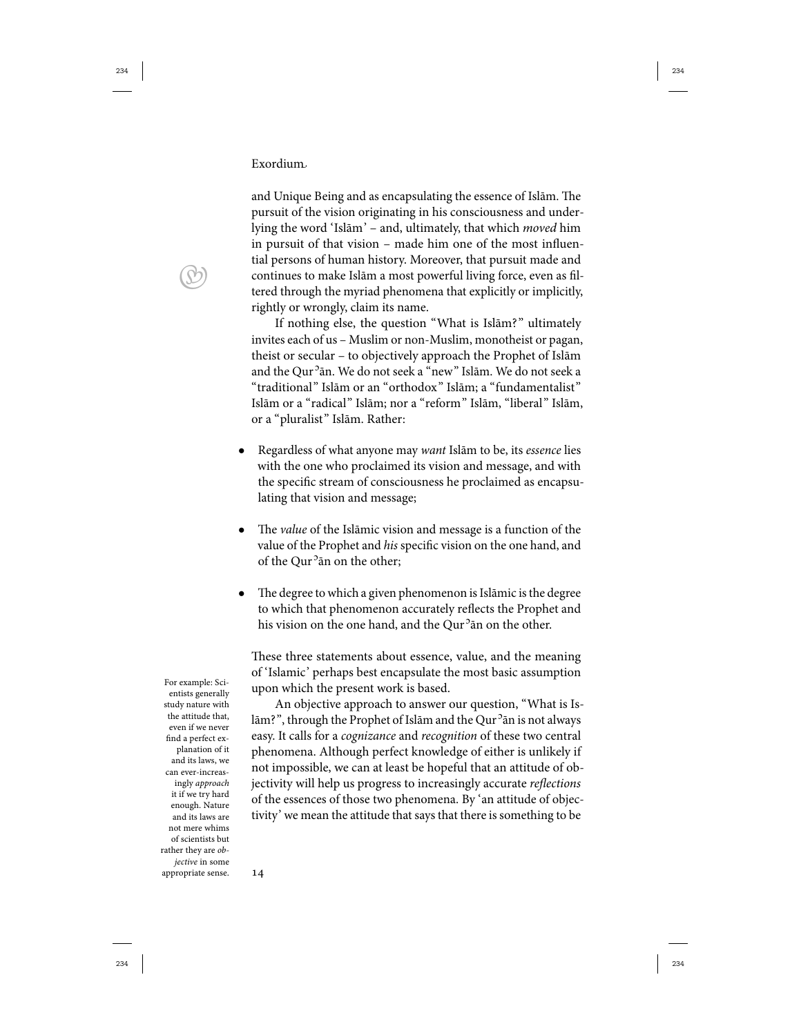and Unique Being and as encapsulating the essence of Islām. The pursuit of the vision originating in his consciousness and underlying the word 'Islām' – and, ultimately, that which moved him in pursuit of that vision – made him one of the most influential persons of human history. Moreover, that pursuit made and continues to make Islām a most powerful living force, even as filtered through the myriad phenomena that explicitly or implicitly, rightly or wrongly, claim its name.

If nothing else, the question "What is Islām?" ultimately invites each of us – Muslim or non-Muslim, monotheist or pagan, theist or secular – to objectively approach the Prophet of Islām and the Qur<sup>5</sup>ān. We do not seek a "new" Islām. We do not seek a "traditional" Islām or an "orthodox" Islām; a "fundamentalist" Islām or a "radical" Islām; nor a "reform" Islām, "liberal" Islām, or a "pluralist" Islām. Rather:

- Regardless of what anyone may want Islām to be, its essence lies with the one who proclaimed its vision and message, and with the specific stream of consciousness he proclaimed as encapsulating that vision and message;
- The *value* of the Islāmic vision and message is a function of the value of the Prophet and his specific vision on the one hand, and of the Qur<sup>5</sup> an on the other;
- The degree to which a given phenomenon is Islāmic is the degree to which that phenomenon accurately reflects the Prophet and his vision on the one hand, and the Qur<sup>5</sup>ān on the other.

These three statements about essence, value, and the meaning of 'Islamic' perhaps best encapsulate the most basic assumption For example: Sci-<br>upon which the present work is based.

> An objective approach to answer our question, "What is Islām?", through the Prophet of Islām and the Qur<sup>5</sup>ān is not always easy. It calls for a cognizance and recognition of these two central phenomena. Although perfect knowledge of either is unlikely if not impossible, we can at least be hopeful that an attitude of objectivity will help us progress to increasingly accurate reflections of the essences of those two phenomena. By 'an attitude of objectivity' we mean the attitude that says that there is something to be

 $\bigcirc$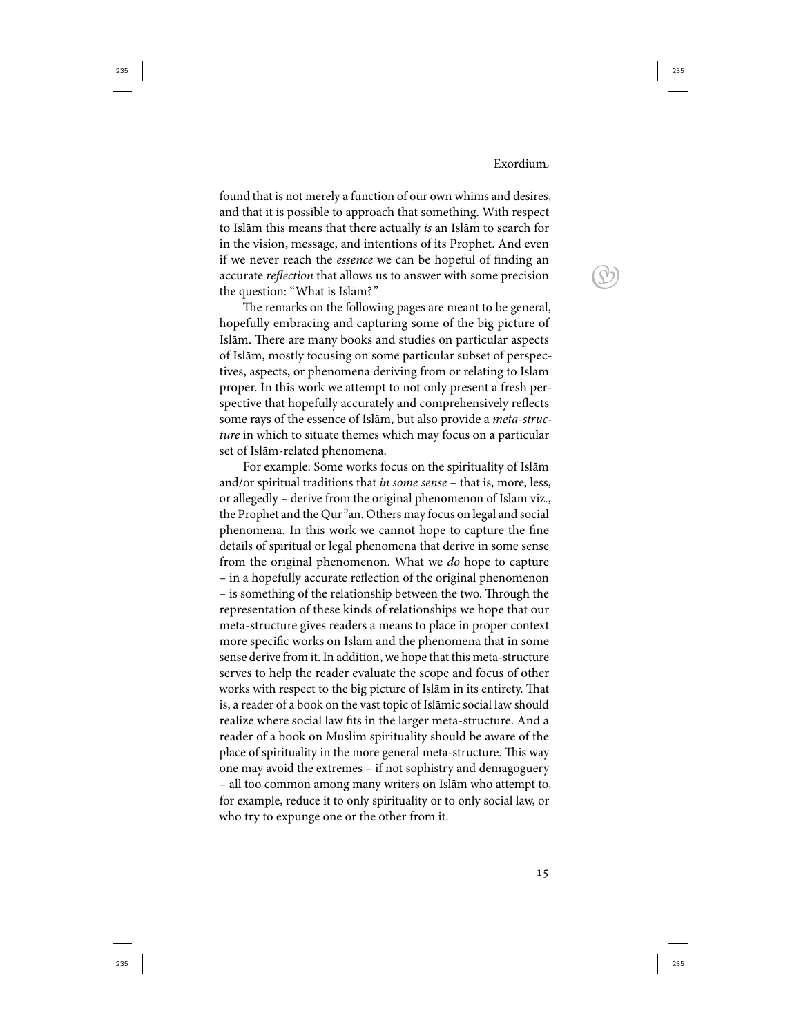$\bigcirc$ 

found that is not merely a function of our own whims and desires, and that it is possible to approach that something. With respect to Islām this means that there actually is an Islām to search for in the vision, message, and intentions of its Prophet. And even if we never reach the essence we can be hopeful of finding an accurate reflection that allows us to answer with some precision the question: "What is Islām?"

The remarks on the following pages are meant to be general, hopefully embracing and capturing some of the big picture of Islām. There are many books and studies on particular aspects of Islām, mostly focusing on some particular subset of perspectives, aspects, or phenomena deriving from or relating to Islām proper. In this work we attempt to not only present a fresh perspective that hopefully accurately and comprehensively reflects some rays of the essence of Islām, but also provide a meta-structure in which to situate themes which may focus on a particular set of Islām-related phenomena.

For example: Some works focus on the spirituality of Islām and/or spiritual traditions that in some sense - that is, more, less, or allegedly – derive from the original phenomenon of Islām viz., the Prophet and the Qur<sup>5</sup>ān. Others may focus on legal and social phenomena. In this work we cannot hope to capture the fine details of spiritual or legal phenomena that derive in some sense from the original phenomenon. What we do hope to capture – in a hopefully accurate reflection of the original phenomenon – is something of the relationship between the two. Through the representation of these kinds of relationships we hope that our meta-structure gives readers a means to place in proper context more specific works on Islām and the phenomena that in some sense derive from it. In addition, we hope that this meta-structure serves to help the reader evaluate the scope and focus of other works with respect to the big picture of Islām in its entirety. That is, a reader of a book on the vast topic of Islāmic social law should realize where social law fits in the larger meta-structure. And a reader of a book on Muslim spirituality should be aware of the place of spirituality in the more general meta-structure. This way one may avoid the extremes – if not sophistry and demagoguery – all too common among many writers on Islām who attempt to, for example, reduce it to only spirituality or to only social law, or who try to expunge one or the other from it.

15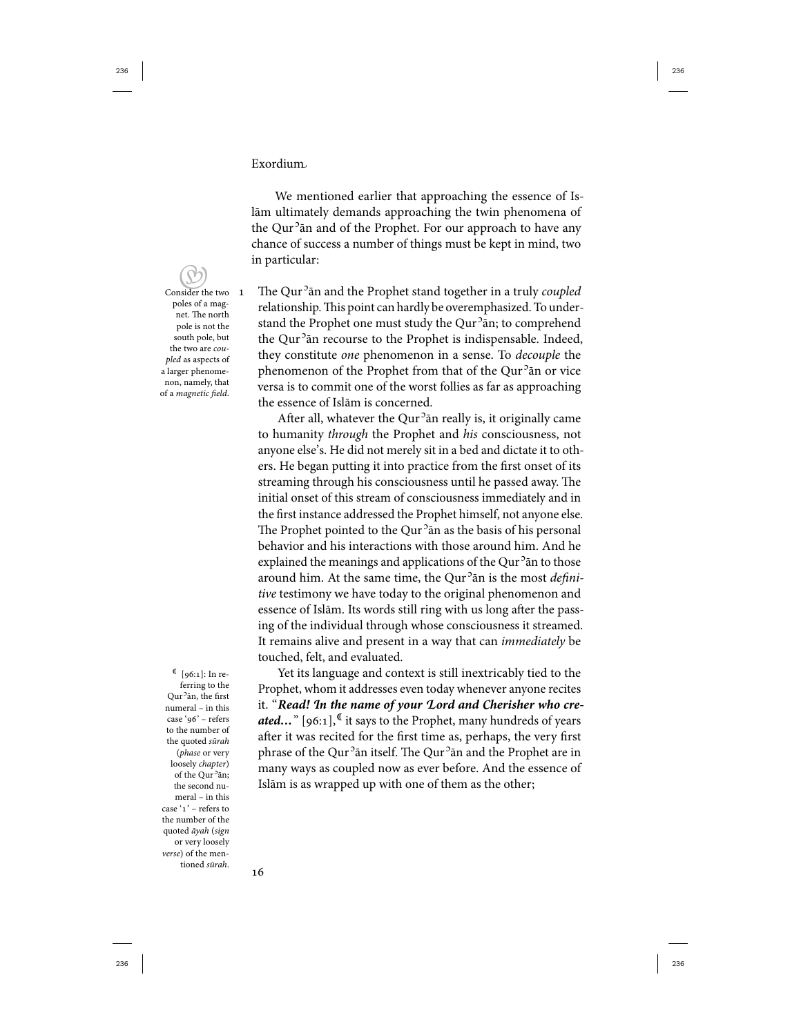We mentioned earlier that approaching the essence of Islām ultimately demands approaching the twin phenomena of the Qur<sup>5</sup>ān and of the Prophet. For our approach to have any chance of success a number of things must be kept in mind, two in particular:

 Consider the two poles of a magnet. The north pole is not the south pole, but the two are coupled as aspects of a larger phenomenon, namely, that of a magnetic field.

 $[96:1]:$  In referring to the Qur<sup>o</sup>ān, the first numeral – in this case '96' – refers to the number of the quoted sūrah (phase or very loosely chapter) of the Qur<sup>5</sup>ān; the second numeral – in this case ' $1$ ' – refers to the number of the quoted āyah (sign or very loosely verse) of the mentioned sūrah.

1 The Qur<sup>2</sup> an and the Prophet stand together in a truly coupled relationship. This point can hardly be overemphasized. To understand the Prophet one must study the Qur<sup>5</sup>ān; to comprehend the Qur<sup>5</sup>ān recourse to the Prophet is indispensable. Indeed, they constitute one phenomenon in a sense. To decouple the phenomenon of the Prophet from that of the Qur<sup>5</sup>ān or vice versa is to commit one of the worst follies as far as approaching the essence of Islām is concerned.

After all, whatever the Qur<sup>5</sup>ān really is, it originally came to humanity through the Prophet and his consciousness, not anyone else's. He did not merely sit in a bed and dictate it to others. He began putting it into practice from the first onset of its streaming through his consciousness until he passed away. The initial onset of this stream of consciousness immediately and in the first instance addressed the Prophet himself, not anyone else. The Prophet pointed to the Qur<sup>5</sup>ān as the basis of his personal behavior and his interactions with those around him. And he explained the meanings and applications of the Qur<sup>5</sup>ān to those around him. At the same time, the Qur<sup>5</sup>ān is the most *defini*tive testimony we have today to the original phenomenon and essence of Islām. Its words still ring with us long after the passing of the individual through whose consciousness it streamed. It remains alive and present in a way that can *immediately* be touched, felt, and evaluated.

Yet its language and context is still inextricably tied to the Prophet, whom it addresses even today whenever anyone recites it. "**Read! In the name of your Lord and Cherisher who created...**" [96:1],<sup>C</sup> it says to the Prophet, many hundreds of years after it was recited for the first time as, perhaps, the very first phrase of the Qur<sup>5</sup>ān itself. The Qur<sup>5</sup>ān and the Prophet are in many ways as coupled now as ever before. And the essence of Islām is as wrapped up with one of them as the other;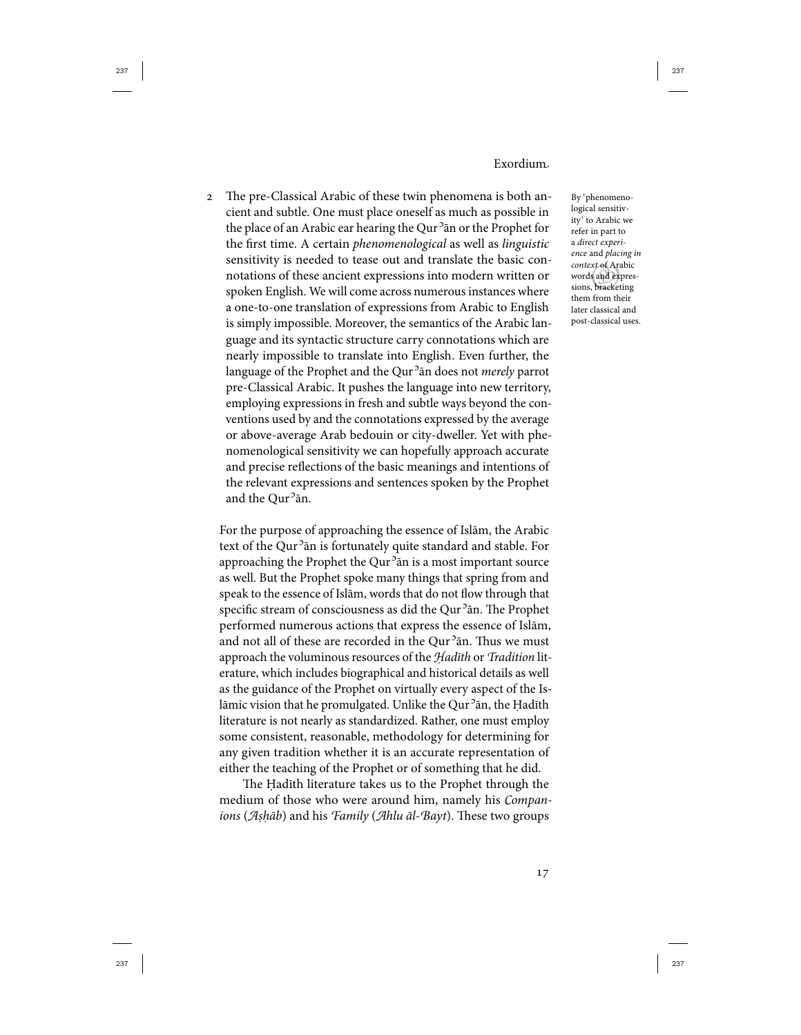The pre-Classical Arabic of these twin phenomena is both ancient and subtle. One must place oneself as much as possible in the place of an Arabic ear hearing the Qur<sup>5</sup>ān or the Prophet for the first time. A certain phenomenological as well as linguistic sensitivity is needed to tease out and translate the basic connotations of these ancient expressions into modern written or spoken English. We will come across numerous instances where a one-to-one translation of expressions from Arabic to English is simply impossible. Moreover, the semantics of the Arabic language and its syntactic structure carry connotations which are nearly impossible to translate into English. Even further, the language of the Prophet and the Qur<sup>5</sup>ān does not *merely* parrot pre-Classical Arabic. It pushes the language into new territory, employing expressions in fresh and subtle ways beyond the conventions used by and the connotations expressed by the average or above-average Arab bedouin or city-dweller. Yet with phenomenological sensitivity we can hopefully approach accurate and precise reflections of the basic meanings and intentions of the relevant expressions and sentences spoken by the Prophet and the Qur<sup>5</sup>ān.

For the purpose of approaching the essence of Islām, the Arabic text of the Qur<sup>5</sup>ān is fortunately quite standard and stable. For approaching the Prophet the Qur<sup>5</sup>ān is a most important source as well. But the Prophet spoke many things that spring from and speak to the essence of Islām, words that do not flow through that specific stream of consciousness as did the Qur<sup>2</sup>ān. The Prophet performed numerous actions that express the essence of Islām, and not all of these are recorded in the Qur<sup>5</sup>ān. Thus we must approach the voluminous resources of the Hadīth or Tradition literature, which includes biographical and historical details as well as the guidance of the Prophet on virtually every aspect of the Islāmic vision that he promulgated. Unlike the Qur<sup>2</sup>ān, the Ḥadīth literature is not nearly as standardized. Rather, one must employ some consistent, reasonable, methodology for determining for any given tradition whether it is an accurate representation of either the teaching of the Prophet or of something that he did.

The Ḥadīth literature takes us to the Prophet through the medium of those who were around him, namely his Companions (Aṣḥāb) and his Family (Ahlu ãl-Bayt). These two groups

words and expressions, bracketing By 'phenomenological sensitivity' to Arabic we refer in part to a direct experience and placing in context of Arabic words and expresthem from their later classical and post-classical uses.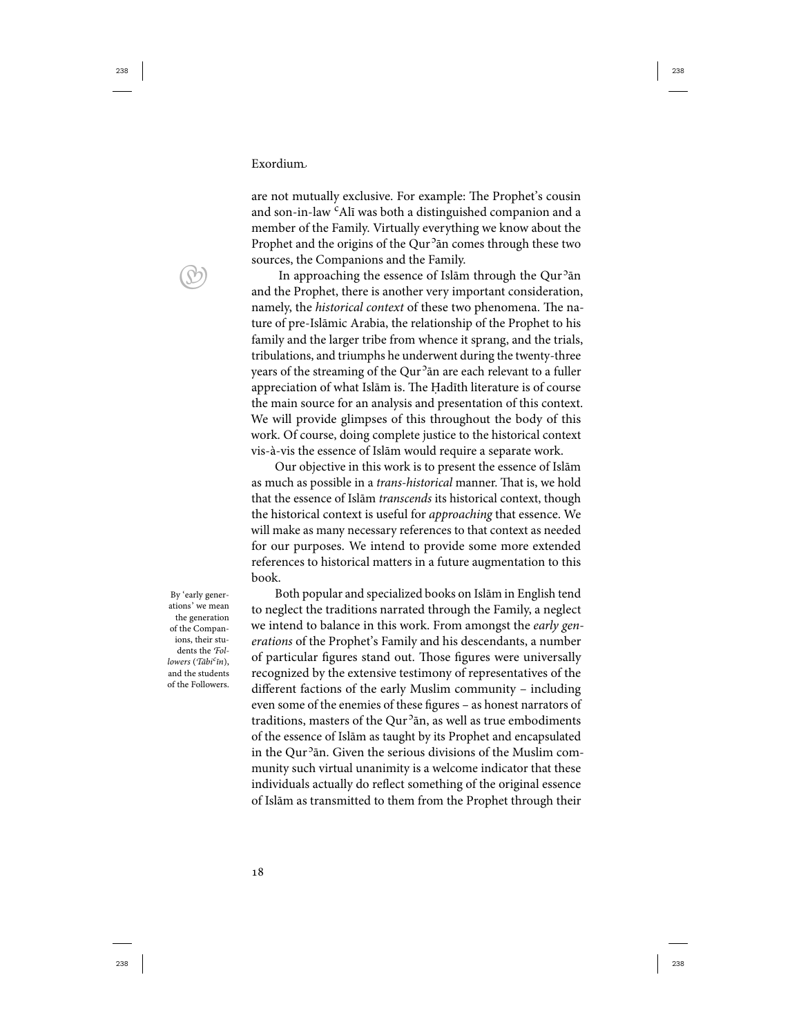are not mutually exclusive. For example: The Prophet's cousin and son-in-law <sup>c</sup>Alī was both a distinguished companion and a member of the Family. Virtually everything we know about the Prophet and the origins of the Qur<sup>5</sup>ān comes through these two sources, the Companions and the Family.

In approaching the essence of Islām through the Qur<sup>5</sup>ān and the Prophet, there is another very important consideration, namely, the historical context of these two phenomena. The nature of pre-Islāmic Arabia, the relationship of the Prophet to his family and the larger tribe from whence it sprang, and the trials, tribulations, and triumphs he underwent during the twenty-three years of the streaming of the Qur<sup>5</sup>ān are each relevant to a fuller appreciation of what Islām is. The Ḥadīth literature is of course the main source for an analysis and presentation of this context. We will provide glimpses of this throughout the body of this work. Of course, doing complete justice to the historical context vis-à-vis the essence of Islām would require a separate work.

Our objective in this work is to present the essence of Islām as much as possible in a trans-historical manner. That is, we hold that the essence of Islām transcends its historical context, though the historical context is useful for approaching that essence. We will make as many necessary references to that context as needed for our purposes. We intend to provide some more extended references to historical matters in a future augmentation to this book.

By 'early generations' we mean the generation of the Companions, their students the Followers (Tābi<sup>c</sup>īn), and the students of the Followers.

Both popular and specialized books on Islām in English tend to neglect the traditions narrated through the Family, a neglect we intend to balance in this work. From amongst the early generations of the Prophet's Family and his descendants, a number of particular figures stand out. Those figures were universally recognized by the extensive testimony of representatives of the different factions of the early Muslim community – including even some of the enemies of these figures – as honest narrators of traditions, masters of the Qur<sup>5</sup>ān, as well as true embodiments of the essence of Islām as taught by its Prophet and encapsulated in the Qur<sup>5</sup>ān. Given the serious divisions of the Muslim community such virtual unanimity is a welcome indicator that these individuals actually do reflect something of the original essence of Islām as transmitted to them from the Prophet through their

 $\bigcirc$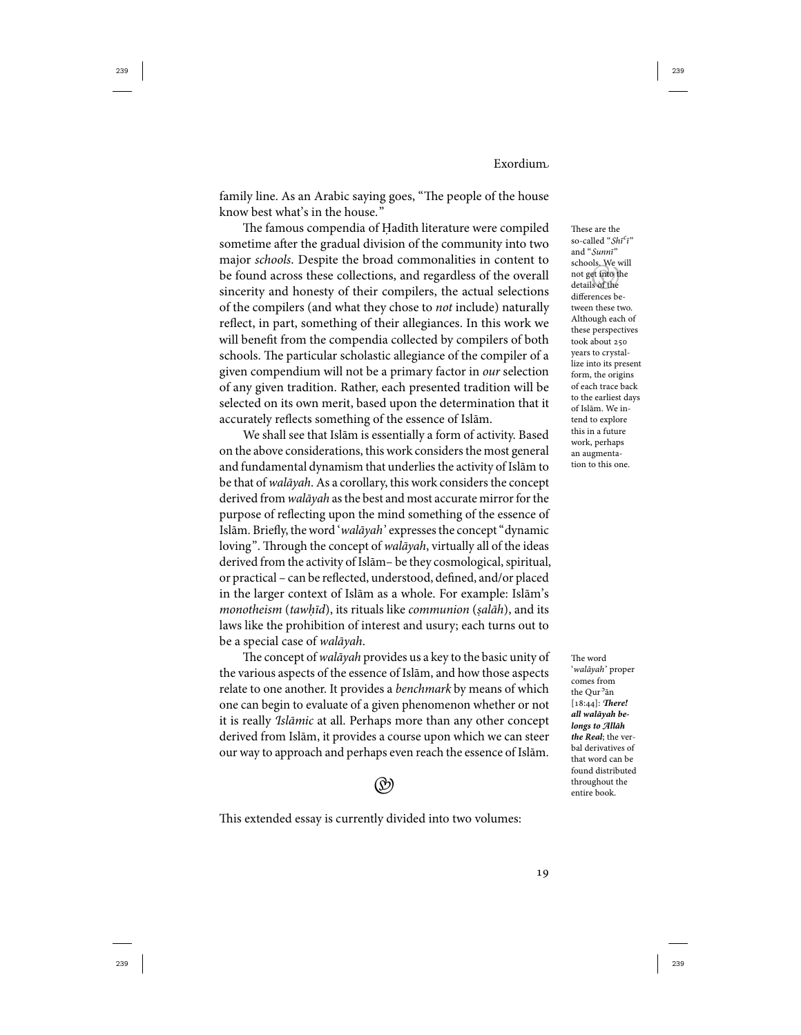family line. As an Arabic saying goes, "The people of the house know best what's in the house."

The famous compendia of Ḥadīth literature were compiled sometime after the gradual division of the community into two major schools. Despite the broad commonalities in content to be found across these collections, and regardless of the overall sincerity and honesty of their compilers, the actual selections of the compilers (and what they chose to not include) naturally reflect, in part, something of their allegiances. In this work we will benefit from the compendia collected by compilers of both schools. The particular scholastic allegiance of the compiler of a given compendium will not be a primary factor in our selection of any given tradition. Rather, each presented tradition will be selected on its own merit, based upon the determination that it accurately reflects something of the essence of Islām.

We shall see that Islām is essentially a form of activity. Based on the above considerations, this work considers the most general and fundamental dynamism that underlies the activity of Islām to be that of walāyah. As a corollary, this work considers the concept derived from walāyah as the best and most accurate mirror for the purpose of reflecting upon the mind something of the essence of Islām. Briefly, the word 'walāyah' expresses the concept "dynamic loving". Through the concept of walāyah, virtually all of the ideas derived from the activity of Islām- be they cosmological, spiritual, or practical – can be reflected, understood, defined, and/or placed in the larger context of Islām as a whole. For example: Islām's monotheism (tawhīd), its rituals like communion (salāh), and its laws like the prohibition of interest and usury; each turns out to be a special case of walāyah.

The concept of walāyah provides us a key to the basic unity of the various aspects of the essence of Islām, and how those aspects relate to one another. It provides a benchmark by means of which one can begin to evaluate of a given phenomenon whether or not it is really Islāmic at all. Perhaps more than any other concept derived from Islām, it provides a course upon which we can steer our way to approach and perhaps even reach the essence of Islām.



This extended essay is currently divided into two volumes:

 not get into the These are the so-called "Shī<sup>c</sup>ī" and "Sunnī" schools. We will details of the differences between these two. Although each of these perspectives took about years to crystallize into its present form, the origins of each trace back to the earliest days of Islām. We intend to explore this in a future work, perhaps an augmentation to this one.

The word 'walāyah' proper comes from the Qur<sup>5</sup>ān [18:44]: There! **all walāyah belongs to Allāh the Real**; the verbal derivatives of that word can be found distributed throughout the entire book.